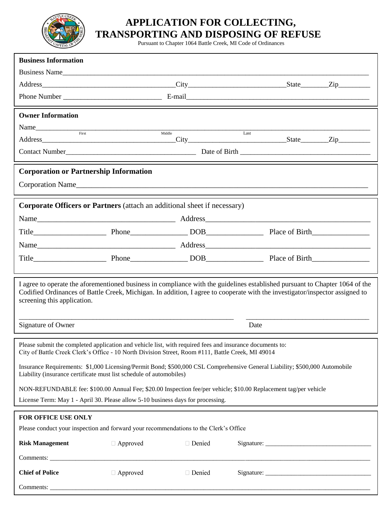

## **APPLICATION FOR COLLECTING, TRANSPORTING AND DISPOSING OF REFUSE**

Pursuant to Chapter 1064 Battle Creek, MI Code of Ordinances

| <b>Business Information</b>                                                                                                                                                                                                                                                                 |                 |          |      |  |  |  |  |  |  |
|---------------------------------------------------------------------------------------------------------------------------------------------------------------------------------------------------------------------------------------------------------------------------------------------|-----------------|----------|------|--|--|--|--|--|--|
| Business Name                                                                                                                                                                                                                                                                               |                 |          |      |  |  |  |  |  |  |
|                                                                                                                                                                                                                                                                                             |                 |          |      |  |  |  |  |  |  |
|                                                                                                                                                                                                                                                                                             |                 |          |      |  |  |  |  |  |  |
| <b>Owner Information</b>                                                                                                                                                                                                                                                                    |                 |          |      |  |  |  |  |  |  |
|                                                                                                                                                                                                                                                                                             |                 |          |      |  |  |  |  |  |  |
| First                                                                                                                                                                                                                                                                                       |                 | Middle   | Last |  |  |  |  |  |  |
|                                                                                                                                                                                                                                                                                             |                 |          |      |  |  |  |  |  |  |
| <b>Corporation or Partnership Information</b>                                                                                                                                                                                                                                               |                 |          |      |  |  |  |  |  |  |
| Corporation Name and the contract of the contract of the contract of the contract of the contract of the contract of the contract of the contract of the contract of the contract of the contract of the contract of the contr                                                              |                 |          |      |  |  |  |  |  |  |
|                                                                                                                                                                                                                                                                                             |                 |          |      |  |  |  |  |  |  |
| Corporate Officers or Partners (attach an additional sheet if necessary)                                                                                                                                                                                                                    |                 |          |      |  |  |  |  |  |  |
|                                                                                                                                                                                                                                                                                             |                 |          |      |  |  |  |  |  |  |
|                                                                                                                                                                                                                                                                                             |                 |          |      |  |  |  |  |  |  |
|                                                                                                                                                                                                                                                                                             |                 |          |      |  |  |  |  |  |  |
|                                                                                                                                                                                                                                                                                             |                 |          |      |  |  |  |  |  |  |
|                                                                                                                                                                                                                                                                                             |                 |          |      |  |  |  |  |  |  |
| I agree to operate the aforementioned business in compliance with the guidelines established pursuant to Chapter 1064 of the<br>Codified Ordinances of Battle Creek, Michigan. In addition, I agree to cooperate with the investigator/inspector assigned to<br>screening this application. |                 |          |      |  |  |  |  |  |  |
| Signature of Owner                                                                                                                                                                                                                                                                          | Date            |          |      |  |  |  |  |  |  |
| Please submit the completed application and vehicle list, with required fees and insurance documents to:<br>City of Battle Creek Clerk's Office - 10 North Division Street, Room #111, Battle Creek, MI 49014                                                                               |                 |          |      |  |  |  |  |  |  |
| Insurance Requirements: \$1,000 Licensing/Permit Bond; \$500,000 CSL Comprehensive General Liability; \$500,000 Automobile<br>Liability (insurance certificate must list schedule of automobiles)                                                                                           |                 |          |      |  |  |  |  |  |  |
| NON-REFUNDABLE fee: \$100.00 Annual Fee; \$20.00 Inspection fee/per vehicle; \$10.00 Replacement tag/per vehicle                                                                                                                                                                            |                 |          |      |  |  |  |  |  |  |
| License Term: May 1 - April 30. Please allow 5-10 business days for processing.                                                                                                                                                                                                             |                 |          |      |  |  |  |  |  |  |
| FOR OFFICE USE ONLY                                                                                                                                                                                                                                                                         |                 |          |      |  |  |  |  |  |  |
| Please conduct your inspection and forward your recommendations to the Clerk's Office                                                                                                                                                                                                       |                 |          |      |  |  |  |  |  |  |
| <b>Risk Management</b>                                                                                                                                                                                                                                                                      | $\Box$ Approved | □ Denied |      |  |  |  |  |  |  |
|                                                                                                                                                                                                                                                                                             |                 |          |      |  |  |  |  |  |  |
| <b>Chief of Police</b>                                                                                                                                                                                                                                                                      | $\Box$ Approved | □ Denied |      |  |  |  |  |  |  |
|                                                                                                                                                                                                                                                                                             |                 |          |      |  |  |  |  |  |  |